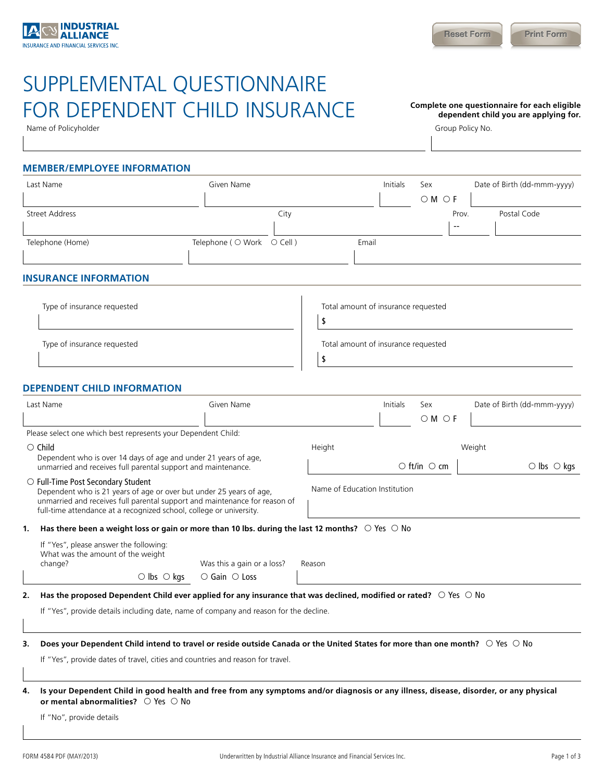# SUPPLEMENTAL QUESTIONNAIRE FOR DEPENDENT CHILD INSURANCE Complete one questionnaire for each eligible

Name of Policyholder **Group Policyholder** Group Policy No.

**dependent child you are applying for.** 

## **MEMBER/EMPLOYEE INFORMATION**

| Last Name        | Given Name                                   |      |       | Initials | Sex  |       | Date of Birth (dd-mmm-yyyy) |
|------------------|----------------------------------------------|------|-------|----------|------|-------|-----------------------------|
|                  |                                              |      |       |          | OMOF |       |                             |
| Street Address   |                                              | City |       |          |      | Prov. | Postal Code                 |
|                  |                                              |      |       |          |      | $- -$ |                             |
| Telephone (Home) | Telephone ( $\bigcirc$ Work $\bigcirc$ Cell) |      | Email |          |      |       |                             |
|                  |                                              |      |       |          |      |       |                             |

#### **INSURANCE INFORMATION**

| Type of insurance requested | Total amount of insurance requested |  |  |  |
|-----------------------------|-------------------------------------|--|--|--|
|                             |                                     |  |  |  |
| Type of insurance requested | Total amount of insurance requested |  |  |  |
|                             |                                     |  |  |  |

# **DEPENDENT CHILD INFORMATION**

| Last Name                                                                                                                                                                                                                                                            | Given Name                 |                               | <b>Initials</b> | Sex                      | Date of Birth (dd-mmm-yyyy) |  |
|----------------------------------------------------------------------------------------------------------------------------------------------------------------------------------------------------------------------------------------------------------------------|----------------------------|-------------------------------|-----------------|--------------------------|-----------------------------|--|
|                                                                                                                                                                                                                                                                      |                            |                               |                 | OMOF                     |                             |  |
| Please select one which best represents your Dependent Child:                                                                                                                                                                                                        |                            |                               |                 |                          |                             |  |
| $\circ$ Child                                                                                                                                                                                                                                                        |                            | Height                        | Weight          |                          |                             |  |
| Dependent who is over 14 days of age and under 21 years of age,<br>unmarried and receives full parental support and maintenance.                                                                                                                                     |                            |                               |                 | $\circ$ ft/in $\circ$ cm | $\circ$ lbs $\circ$ kgs     |  |
| $\circ$ Full-Time Post Secondary Student<br>Dependent who is 21 years of age or over but under 25 years of age,<br>unmarried and receives full parental support and maintenance for reason of<br>full-time attendance at a recognized school, college or university. |                            | Name of Education Institution |                 |                          |                             |  |
| Has there been a weight loss or gain or more than 10 lbs. during the last 12 months? $\circ$ Yes $\circ$ No<br>1.                                                                                                                                                    |                            |                               |                 |                          |                             |  |
| If "Yes", please answer the following:<br>What was the amount of the weight<br>change?                                                                                                                                                                               | Was this a gain or a loss? | Reason                        |                 |                          |                             |  |
| $\circ$ lbs $\circ$ kgs                                                                                                                                                                                                                                              | $\circ$ Gain $\circ$ Loss  |                               |                 |                          |                             |  |

**2. Has the proposed Dependent Child ever applied for any insurance that was declined, modified or rated?** Yes No

If "Yes", provide details including date, name of company and reason for the decline.

#### **3. Does your Dependent Child intend to travel or reside outside Canada or the United States for more than one month?** Yes No

If "Yes", provide dates of travel, cities and countries and reason for travel.

**4. Is your Dependent Child in good health and free from any symptoms and/or diagnosis or any illness, disease, disorder, or any physical or mental abnormalities?**  $\bigcirc$  Yes  $\bigcirc$  No

If "No", provide details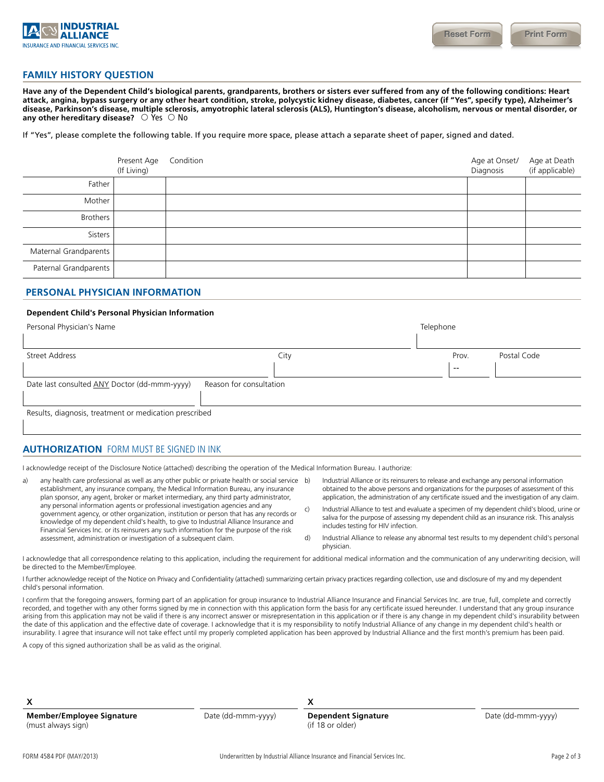

#### **FAMILY HISTORY QUESTION**

**Have any of the Dependent Child's biological parents, grandparents, brothers or sisters ever suffered from any of the following conditions: Heart attack, angina, bypass surgery or any other heart condition, stroke, polycystic kidney disease, diabetes, cancer (if "Yes", specify type), Alzheimer's disease, Parkinson's disease, multiple sclerosis, amyotrophic lateral sclerosis (ALS), Huntington's disease, alcoholism, nervous or mental disorder, or any other hereditary disease?**  $\circ$  Yes  $\circ$  No

If "Yes", please complete the following table. If you require more space, please attach a separate sheet of paper, signed and dated.

|                       | Present Age<br>(If Living) | Condition | Age at Onset/<br>Diagnosis | Age at Death<br>(if applicable) |
|-----------------------|----------------------------|-----------|----------------------------|---------------------------------|
| Father                |                            |           |                            |                                 |
| Mother                |                            |           |                            |                                 |
| <b>Brothers</b>       |                            |           |                            |                                 |
| Sisters               |                            |           |                            |                                 |
| Maternal Grandparents |                            |           |                            |                                 |
| Paternal Grandparents |                            |           |                            |                                 |

## **PERSONAL PHYSICIAN INFORMATION**

#### **Dependent Child's Personal Physician Information**

| Personal Physician's Name                                               |      |  | Telephone |             |  |  |
|-------------------------------------------------------------------------|------|--|-----------|-------------|--|--|
| Street Address                                                          | City |  | Prov.     | Postal Code |  |  |
|                                                                         |      |  | $- -$     |             |  |  |
| Date last consulted ANY Doctor (dd-mmm-yyyy)<br>Reason for consultation |      |  |           |             |  |  |
| Results, diagnosis, treatment or medication prescribed                  |      |  |           |             |  |  |

**AUTHORIZATION** FORM MUST BE SIGNED IN INK

I acknowledge receipt of the Disclosure Notice (attached) describing the operation of the Medical Information Bureau. I authorize:

- a) any health care professional as well as any other public or private health or social service b) establishment, any insurance company, the Medical Information Bureau, any insurance plan sponsor, any agent, broker or market intermediary, any third party administrator, any personal information agents or professional investigation agencies and any government agency, or other organization, institution or person that has any records or knowledge of my dependent child's health, to give to Industrial Alliance Insurance and Financial Services Inc. or its reinsurers any such information for the purpose of the risk assessment, administration or investigation of a subsequent claim.
- b) Industrial Alliance or its reinsurers to release and exchange any personal information obtained to the above persons and organizations for the purposes of assessment of this application, the administration of any certificate issued and the investigation of any claim.
- c) Industrial Alliance to test and evaluate a specimen of my dependent child's blood, urine or saliva for the purpose of assessing my dependent child as an insurance risk. This analysis includes testing for HIV infection.
- d) Industrial Alliance to release any abnormal test results to my dependent child's personal physician.

I acknowledge that all correspondence relating to this application, including the requirement for additional medical information and the communication of any underwriting decision, will be directed to the Member/Employee.

I further acknowledge receipt of the Notice on Privacy and Confidentiality (attached) summarizing certain privacy practices regarding collection, use and disclosure of my and my dependent child's personal information.

I confirm that the foregoing answers, forming part of an application for group insurance to Industrial Alliance Insurance and Financial Services Inc. are true, full, complete and correctly recorded, and together with any other forms signed by me in connection with this application form the basis for any certificate issued hereunder. I understand that any group insurance arising from this application may not be valid if there is any incorrect answer or misrepresentation in this application or if there is any change in my dependent child's insurability between the date of this application and the effective date of coverage. I acknowledge that it is my responsibility to notify Industrial Alliance of any change in my dependent child's health or insurability. I agree that insurance will not take effect until my properly completed application has been approved by Industrial Alliance and the first month's premium has been paid.

A copy of this signed authorization shall be as valid as the original.

 $x \sim x$ 

**Member/Employee Signature** (must always sign)

Date (dd-mmm-yyyy) **Dependent Signature**  (if 18 or older)

Date (dd-mmm-yyyy)